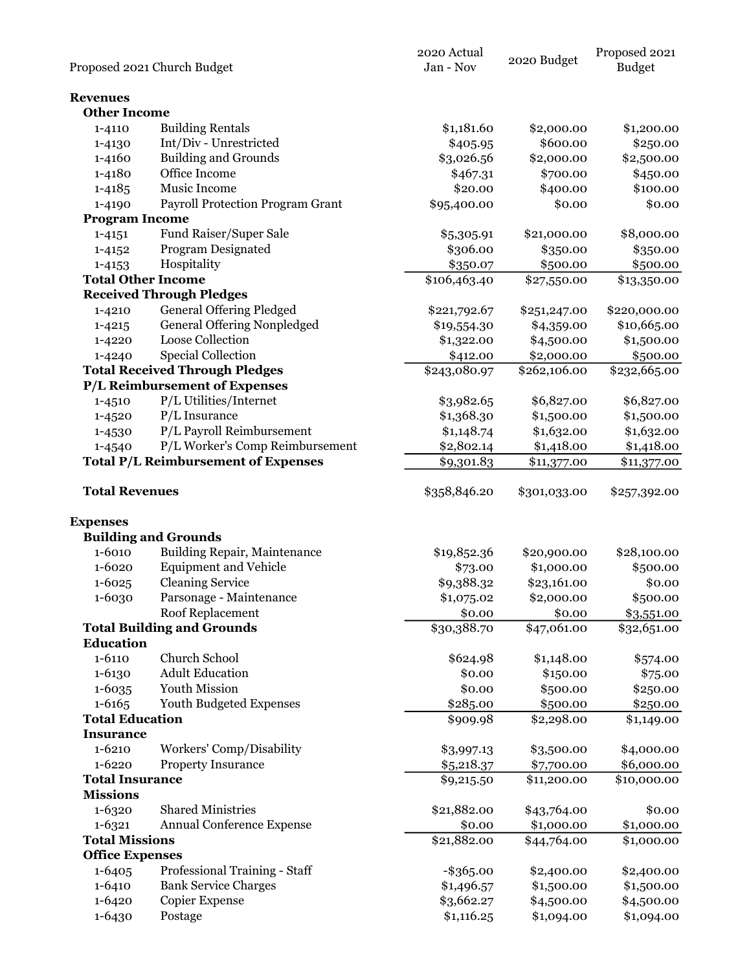|                                 |                                            | 2020 Actual           | 2020 Budget  | Proposed 2021 |
|---------------------------------|--------------------------------------------|-----------------------|--------------|---------------|
|                                 | Proposed 2021 Church Budget                | Jan - Nov             |              | <b>Budget</b> |
|                                 |                                            |                       |              |               |
| <b>Revenues</b>                 |                                            |                       |              |               |
| <b>Other Income</b>             |                                            |                       |              |               |
| 1-4110                          | <b>Building Rentals</b>                    | \$1,181.60            | \$2,000.00   | \$1,200.00    |
| 1-4130                          | Int/Div - Unrestricted                     | \$405.95              | \$600.00     | \$250.00      |
| 1-4160                          | <b>Building and Grounds</b>                | \$3,026.56            | \$2,000.00   | \$2,500.00    |
| 1-4180                          | Office Income                              | \$467.31              | \$700.00     | \$450.00      |
| $1 - 4185$                      | Music Income                               | \$20.00               | \$400.00     | \$100.00      |
| 1-4190                          | <b>Payroll Protection Program Grant</b>    | \$95,400.00           | \$0.00       | \$0.00        |
| <b>Program Income</b>           |                                            |                       |              |               |
| $1 - 4151$                      | Fund Raiser/Super Sale                     | \$5,305.91            | \$21,000.00  | \$8,000.00    |
| $1 - 4152$                      | Program Designated                         | \$306.00              | \$350.00     | \$350.00      |
| $1 - 4153$                      | Hospitality                                | \$350.07              | \$500.00     | \$500.00      |
| <b>Total Other Income</b>       |                                            | \$106,463.40          | \$27,550.00  | \$13,350.00   |
|                                 | <b>Received Through Pledges</b>            |                       |              |               |
| 1-4210                          | <b>General Offering Pledged</b>            | \$221,792.67          | \$251,247.00 | \$220,000.00  |
| $1 - 4215$                      | <b>General Offering Nonpledged</b>         | \$19,554.30           | \$4,359.00   | \$10,665.00   |
| 1-4220                          | Loose Collection                           | \$1,322.00            | \$4,500.00   | \$1,500.00    |
| 1-4240                          | <b>Special Collection</b>                  | \$412.00              | \$2,000.00   | \$500.00      |
|                                 | <b>Total Received Through Pledges</b>      | \$243,080.97          | \$262,106.00 | \$232,665.00  |
|                                 | <b>P/L Reimbursement of Expenses</b>       |                       |              |               |
|                                 |                                            |                       |              |               |
| 1-4510                          | P/L Utilities/Internet                     | \$3,982.65            | \$6,827.00   | \$6,827.00    |
| $1 - 4520$                      | $P/L$ Insurance                            | \$1,368.30            | \$1,500.00   | \$1,500.00    |
| 1-4530                          | P/L Payroll Reimbursement                  | \$1,148.74            | \$1,632.00   | \$1,632.00    |
| 1-4540                          | P/L Worker's Comp Reimbursement            | \$2,802.14            | \$1,418.00   | \$1,418.00    |
|                                 | <b>Total P/L Reimbursement of Expenses</b> | \$9,301.83            | \$11,377.00  | \$11,377.00   |
|                                 |                                            |                       |              |               |
| <b>Total Revenues</b>           |                                            | \$358,846.20          | \$301,033.00 | \$257,392.00  |
| <b>Expenses</b>                 |                                            |                       |              |               |
|                                 | <b>Building and Grounds</b>                |                       |              |               |
| 1-6010                          |                                            |                       |              |               |
|                                 | Building Repair, Maintenance               | \$19,852.36           | \$20,900.00  | \$28,100.00   |
| 1-6020                          | <b>Equipment and Vehicle</b>               | \$73.00               | \$1,000.00   | \$500.00      |
| $1 - 6025$                      | <b>Cleaning Service</b>                    | \$9,388.32            | \$23,161.00  | \$0.00        |
| 1-6030                          | Parsonage - Maintenance                    | \$1,075.02            | \$2,000.00   | \$500.00      |
|                                 | Roof Replacement                           | \$0.00                | \$0.00       | \$3,551.00    |
|                                 | <b>Total Building and Grounds</b>          | \$30,388.70           | \$47,061.00  | \$32,651.00   |
| <b>Education</b>                |                                            |                       |              |               |
| $1 - 6110$                      | <b>Church School</b>                       | \$624.98              | \$1,148.00   | \$574.00      |
| 1-6130                          | <b>Adult Education</b>                     | \$0.00                | \$150.00     | \$75.00       |
| $1 - 6035$                      | Youth Mission                              | \$0.00                | \$500.00     | \$250.00      |
| $1 - 6165$                      | Youth Budgeted Expenses                    | \$285.00              | \$500.00     | \$250.00      |
| <b>Total Education</b>          |                                            | \$909.98              | \$2,298.00   | \$1,149.00    |
| <b>Insurance</b>                |                                            |                       |              |               |
| 1-6210                          | Workers' Comp/Disability                   | \$3,997.13            | \$3,500.00   | \$4,000.00    |
| $1 - 6220$                      | <b>Property Insurance</b>                  | \$5,218.37            | \$7,700.00   | \$6,000.00    |
| <b>Total Insurance</b>          |                                            | \$9,215.50            | \$11,200.00  | \$10,000.00   |
| <b>Missions</b>                 |                                            |                       |              |               |
| 1-6320                          | <b>Shared Ministries</b>                   | \$21,882.00           | \$43,764.00  | \$0.00        |
|                                 |                                            |                       |              |               |
| 1-6321<br><b>Total Missions</b> | Annual Conference Expense                  | \$0.00<br>\$21,882.00 | \$1,000.00   | \$1,000.00    |
|                                 |                                            |                       | \$44,764.00  | \$1,000.00    |
| <b>Office Expenses</b>          |                                            |                       |              |               |
| 1-6405                          | Professional Training - Staff              | $-$ \$365.00          | \$2,400.00   | \$2,400.00    |
| 1-6410                          | <b>Bank Service Charges</b>                | \$1,496.57            | \$1,500.00   | \$1,500.00    |
| 1-6420                          | <b>Copier Expense</b>                      | \$3,662.27            | \$4,500.00   | \$4,500.00    |
| 1-6430                          | Postage                                    | \$1,116.25            | \$1,094.00   | \$1,094.00    |
|                                 |                                            |                       |              |               |